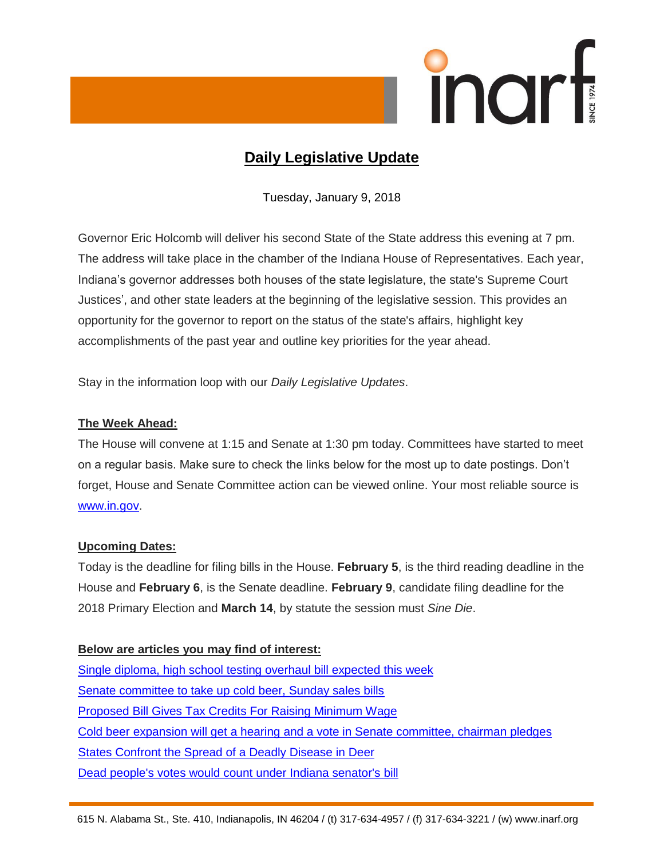

# **Daily Legislative Update**

Tuesday, January 9, 2018

Governor Eric Holcomb will deliver his second State of the State address this evening at 7 pm. The address will take place in the chamber of the Indiana House of Representatives. Each year, Indiana's governor addresses both houses of the state legislature, the state's Supreme Court Justices', and other state leaders at the beginning of the legislative session. This provides an opportunity for the governor to report on the status of the state's affairs, highlight key accomplishments of the past year and outline key priorities for the year ahead.

Stay in the information loop with our *Daily Legislative Updates*.

# **The Week Ahead:**

The House will convene at 1:15 and Senate at 1:30 pm today. Committees have started to meet on a regular basis. Make sure to check the links below for the most up to date postings. Don't forget, House and Senate Committee action can be viewed online. Your most reliable source is [www.in.gov.](http://www.in.gov/)

## **Upcoming Dates:**

Today is the deadline for filing bills in the House. **February 5**, is the third reading deadline in the House and **February 6**, is the Senate deadline. **February 9**, candidate filing deadline for the 2018 Primary Election and **March 14**, by statute the session must *Sine Die*.

## **Below are articles you may find of interest:**

[Single diploma, high school testing overhaul bill expected this week](https://www.indystar.com/story/news/education/2018/01/08/single-diploma-high-school-testing-overhaul-bill-expected-week/1007316001/) [Senate committee to take up cold beer, Sunday sales bills](http://www.therepublic.com/2018/01/08/in-xgr-indiana-alcohol-laws/) [Proposed Bill Gives Tax Credits For Raising Minimum Wage](http://indianapublicmedia.org/news/proposed-bill-give-tax-credits-raising-minimum-wage-136537/) [Cold beer expansion will get a hearing and a vote in Senate committee, chairman pledges](https://www.indystar.com/story/news/politics/2018/01/08/cold-beer-expansion-get-hearing-and-vote-senate-committee-chairman-pledges/1013030001/) [States Confront the Spread of a Deadly Disease in Deer](https://www.nytimes.com/2018/01/08/science/chronic-wasting-disease-deer.html?rref=collection%2Fsectioncollection%2Fus) [Dead people's votes would count under Indiana senator's bill](https://www.indystar.com/story/news/2018/01/08/votes-some-dead-people-would-count-indiana-head-senate-elections-committee-wants-let-dead-people-vot/1012032001/)